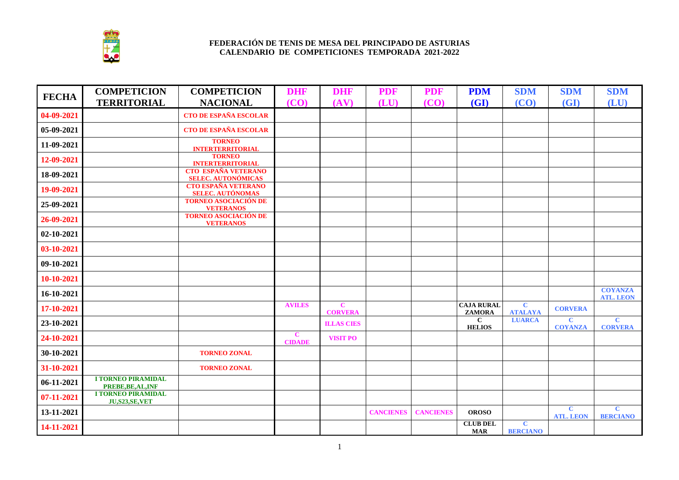

| <b>FECHA</b> | <b>COMPETICION</b>                                | <b>COMPETICION</b>                                               | <b>DHF</b>                    | <b>DHF</b>                    | <b>PDF</b>       | <b>PDF</b>       | <b>PDM</b>                         | <b>SDM</b>                     | <b>SDM</b>                       | <b>SDM</b>                         |
|--------------|---------------------------------------------------|------------------------------------------------------------------|-------------------------------|-------------------------------|------------------|------------------|------------------------------------|--------------------------------|----------------------------------|------------------------------------|
|              | <b>TERRITORIAL</b>                                | <b>NACIONAL</b>                                                  | (CO)                          | (AV)                          | (LU)             | (CO)             | (GI)                               | (CO)                           | (GI)                             | (LU)                               |
| 04-09-2021   |                                                   | CTO DE ESPAÑA ESCOLAR                                            |                               |                               |                  |                  |                                    |                                |                                  |                                    |
| 05-09-2021   |                                                   | <b>CTO DE ESPAÑA ESCOLAR</b>                                     |                               |                               |                  |                  |                                    |                                |                                  |                                    |
| 11-09-2021   |                                                   | <b>TORNEO</b><br><b>INTERTERRITORIAL</b>                         |                               |                               |                  |                  |                                    |                                |                                  |                                    |
| 12-09-2021   |                                                   | <b>TORNEO</b><br><b>INTERTERRITORIAL<br/>CTO ESPAÑA VETERANO</b> |                               |                               |                  |                  |                                    |                                |                                  |                                    |
| 18-09-2021   |                                                   | <b>SELEC. AUTONÓMICAS<br/>CTO ESPAÑA VETERANO</b>                |                               |                               |                  |                  |                                    |                                |                                  |                                    |
| 19-09-2021   |                                                   | <b>SELEC. AUTÓNOMAS</b>                                          |                               |                               |                  |                  |                                    |                                |                                  |                                    |
| 25-09-2021   |                                                   | <b>TORNEO ASOCIACIÓN DE</b><br><b>VETERANOS</b>                  |                               |                               |                  |                  |                                    |                                |                                  |                                    |
| 26-09-2021   |                                                   | <b>TORNEO ASOCIACIÓN DE</b><br><b>VETERANOS</b>                  |                               |                               |                  |                  |                                    |                                |                                  |                                    |
| 02-10-2021   |                                                   |                                                                  |                               |                               |                  |                  |                                    |                                |                                  |                                    |
| 03-10-2021   |                                                   |                                                                  |                               |                               |                  |                  |                                    |                                |                                  |                                    |
| 09-10-2021   |                                                   |                                                                  |                               |                               |                  |                  |                                    |                                |                                  |                                    |
| 10-10-2021   |                                                   |                                                                  |                               |                               |                  |                  |                                    |                                |                                  |                                    |
| 16-10-2021   |                                                   |                                                                  |                               |                               |                  |                  |                                    |                                |                                  | <b>COYANZA</b><br><b>ATL. LEON</b> |
| 17-10-2021   |                                                   |                                                                  | <b>AVILES</b>                 | $\mathbf C$<br><b>CORVERA</b> |                  |                  | <b>CAJA RURAL</b><br><b>ZAMORA</b> | $\mathbf C$<br><b>ATALAYA</b>  | <b>CORVERA</b>                   |                                    |
| 23-10-2021   |                                                   |                                                                  |                               | <b>ILLAS CIES</b>             |                  |                  | $\mathbf C$<br><b>HELIOS</b>       | <b>LUARCA</b>                  | $\overline{c}$<br><b>COYANZA</b> | $\mathbf C$<br><b>CORVERA</b>      |
| 24-10-2021   |                                                   |                                                                  | $\mathbf{C}$<br><b>CIDADE</b> | <b>VISIT PO</b>               |                  |                  |                                    |                                |                                  |                                    |
| 30-10-2021   |                                                   | <b>TORNEO ZONAL</b>                                              |                               |                               |                  |                  |                                    |                                |                                  |                                    |
| 31-10-2021   |                                                   | <b>TORNEO ZONAL</b>                                              |                               |                               |                  |                  |                                    |                                |                                  |                                    |
| 06-11-2021   | <b>I TORNEO PIRAMIDAL</b><br>PREBE, BE, AL, INF   |                                                                  |                               |                               |                  |                  |                                    |                                |                                  |                                    |
| 07-11-2021   | <b>I TORNEO PIRAMIDAL</b><br><b>JU,S23,SE,VET</b> |                                                                  |                               |                               |                  |                  |                                    |                                |                                  |                                    |
| 13-11-2021   |                                                   |                                                                  |                               |                               | <b>CANCIENES</b> | <b>CANCIENES</b> | <b>OROSO</b>                       |                                | $\mathbf C$<br><b>ATL. LEON</b>  | $\mathbf C$<br><b>BERCIANO</b>     |
| 14-11-2021   |                                                   |                                                                  |                               |                               |                  |                  | <b>CLUB DEL</b><br><b>MAR</b>      | $\mathbf C$<br><b>BERCIANO</b> |                                  |                                    |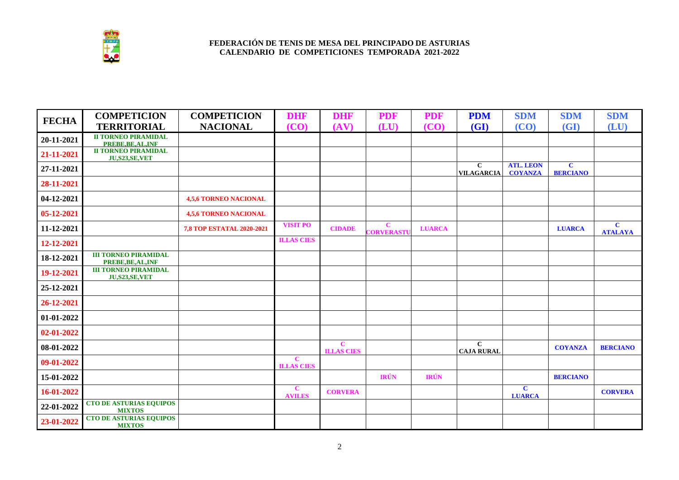

| <b>FECHA</b> | <b>COMPETICION</b>                                                           | <b>COMPETICION</b>               | <b>DHF</b>                       | <b>DHF</b>                        | <b>PDF</b>               | <b>PDF</b>    | <b>PDM</b>                          | <b>SDM</b>                         | <b>SDM</b>                      | <b>SDM</b>                     |
|--------------|------------------------------------------------------------------------------|----------------------------------|----------------------------------|-----------------------------------|--------------------------|---------------|-------------------------------------|------------------------------------|---------------------------------|--------------------------------|
|              | <b>TERRITORIAL</b>                                                           | <b>NACIONAL</b>                  | (CO)                             | (AV)                              | (LU)                     | (CO)          | <b>(GI)</b>                         | (CO)                               | (GI)                            | (LU)                           |
| 20-11-2021   | <b>II TORNEO PIRAMIDAL</b><br><b>PREBE,BE,AL,INF<br/>II TORNEO PIRAMIDAL</b> |                                  |                                  |                                   |                          |               |                                     |                                    |                                 |                                |
| 21-11-2021   | <b>JU,S23,SE,VET</b>                                                         |                                  |                                  |                                   |                          |               |                                     |                                    |                                 |                                |
| 27-11-2021   |                                                                              |                                  |                                  |                                   |                          |               | $\mathbf{C}$<br><b>VILAGARCIA</b>   | <b>ATL. LEON</b><br><b>COYANZA</b> | $\mathbf{C}$<br><b>BERCIANO</b> |                                |
| 28-11-2021   |                                                                              |                                  |                                  |                                   |                          |               |                                     |                                    |                                 |                                |
| 04-12-2021   |                                                                              | <b>4,5,6 TORNEO NACIONAL</b>     |                                  |                                   |                          |               |                                     |                                    |                                 |                                |
| 05-12-2021   |                                                                              | <b>4,5,6 TORNEO NACIONAL</b>     |                                  |                                   |                          |               |                                     |                                    |                                 |                                |
| 11-12-2021   |                                                                              | <b>7,8 TOP ESTATAL 2020-2021</b> | <b>VISIT PO</b>                  | <b>CIDADE</b>                     | $\mathbf C$<br>CORVERAST | <b>LUARCA</b> |                                     |                                    | <b>LUARCA</b>                   | $\mathbf{C}$<br><b>ATALAYA</b> |
| 12-12-2021   |                                                                              |                                  | <b>ILLAS CIES</b>                |                                   |                          |               |                                     |                                    |                                 |                                |
| 18-12-2021   | <b>III TORNEO PIRAMIDAL</b><br>PREBE, BE, AL, INF                            |                                  |                                  |                                   |                          |               |                                     |                                    |                                 |                                |
| 19-12-2021   | <b>III TORNEO PIRAMIDAL</b><br>JU,S23,SE,VET                                 |                                  |                                  |                                   |                          |               |                                     |                                    |                                 |                                |
| 25-12-2021   |                                                                              |                                  |                                  |                                   |                          |               |                                     |                                    |                                 |                                |
| 26-12-2021   |                                                                              |                                  |                                  |                                   |                          |               |                                     |                                    |                                 |                                |
| 01-01-2022   |                                                                              |                                  |                                  |                                   |                          |               |                                     |                                    |                                 |                                |
| 02-01-2022   |                                                                              |                                  |                                  |                                   |                          |               |                                     |                                    |                                 |                                |
| 08-01-2022   |                                                                              |                                  |                                  | $\mathbf{C}$<br><b>ILLAS CIES</b> |                          |               | $\overline{C}$<br><b>CAJA RURAL</b> |                                    | <b>COYANZA</b>                  | <b>BERCIANO</b>                |
| 09-01-2022   |                                                                              |                                  | $\mathbf C$<br><b>ILLAS CIES</b> |                                   |                          |               |                                     |                                    |                                 |                                |
| 15-01-2022   |                                                                              |                                  |                                  |                                   | <b>IRÚN</b>              | <b>IRÚN</b>   |                                     |                                    | <b>BERCIANO</b>                 |                                |
| 16-01-2022   |                                                                              |                                  | $\mathbf C$<br><b>AVILES</b>     | <b>CORVERA</b>                    |                          |               |                                     | $\overline{c}$<br><b>LUARCA</b>    |                                 | <b>CORVERA</b>                 |
| 22-01-2022   | <b>CTO DE ASTURIAS EQUIPOS</b><br><b>MIXTOS</b>                              |                                  |                                  |                                   |                          |               |                                     |                                    |                                 |                                |
| 23-01-2022   | <b>CTO DE ASTURIAS EQUIPOS</b><br><b>MIXTOS</b>                              |                                  |                                  |                                   |                          |               |                                     |                                    |                                 |                                |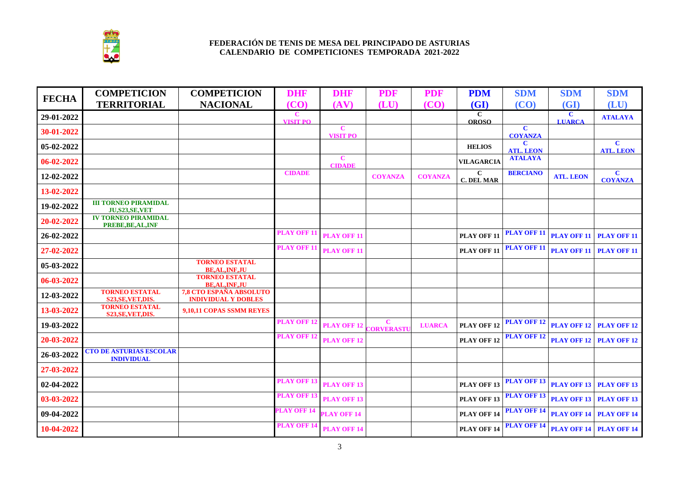

| <b>FECHA</b> | <b>COMPETICION</b>                                     | <b>COMPETICION</b>                                    | <b>DHF</b>                     | <b>DHF</b>                     | <b>PDF</b>     | <b>PDF</b>     | <b>PDM</b>                        | <b>SDM</b>                       | <b>SDM</b>                   | <b>SDM</b>                       |
|--------------|--------------------------------------------------------|-------------------------------------------------------|--------------------------------|--------------------------------|----------------|----------------|-----------------------------------|----------------------------------|------------------------------|----------------------------------|
|              | <b>TERRITORIAL</b>                                     | <b>NACIONAL</b>                                       | (CO)                           | (AV)                           | (LU)           | (CO)           | (GI)                              | (CO)                             | (GI)                         | (LU)                             |
| 29-01-2022   |                                                        |                                                       | $\mathbf C$<br><b>VISIT PO</b> |                                |                |                | $\overline{c}$<br><b>OROSO</b>    |                                  | $\mathbf C$<br><b>LUARCA</b> | <b>ATALAYA</b>                   |
| 30-01-2022   |                                                        |                                                       |                                | $\mathbf C$<br><b>VISIT PO</b> |                |                |                                   | $\overline{c}$<br><b>COYANZA</b> |                              |                                  |
| 05-02-2022   |                                                        |                                                       |                                |                                |                |                | <b>HELIOS</b>                     | $\mathbf C$<br><b>ATL. LEON</b>  |                              | $\mathbf{C}$<br><b>ATL. LEON</b> |
| 06-02-2022   |                                                        |                                                       |                                | $\mathbf C$<br><b>CIDADE</b>   |                |                | <b>VILAGARCIA</b>                 | <b>ATALAYA</b>                   |                              |                                  |
| 12-02-2022   |                                                        |                                                       | <b>CIDADE</b>                  |                                | <b>COYANZA</b> | <b>COYANZA</b> | $\mathbf{C}$<br><b>C. DEL MAR</b> | <b>BERCIANO</b>                  | <b>ATL. LEON</b>             | $\mathbf{C}$<br><b>COYANZA</b>   |
| 13-02-2022   |                                                        |                                                       |                                |                                |                |                |                                   |                                  |                              |                                  |
| 19-02-2022   | <b>III TORNEO PIRAMIDAL</b><br><b>JU, S23, SE, VET</b> |                                                       |                                |                                |                |                |                                   |                                  |                              |                                  |
| 20-02-2022   | <b>IV TORNEO PIRAMIDAL</b><br>PREBE, BE, AL, INF       |                                                       |                                |                                |                |                |                                   |                                  |                              |                                  |
| 26-02-2022   |                                                        |                                                       | <b>PLAY OFF 11</b>             | <b>PLAY OFF 11</b>             |                |                | <b>PLAY OFF 11</b>                | <b>PLAY OFF 11</b>               | <b>PLAY OFF 11</b>           | <b>PLAY OFF 11</b>               |
| 27-02-2022   |                                                        |                                                       | <b>PLAY OFF 11</b>             | <b>PLAY OFF 11</b>             |                |                | PLAY OFF 11                       | <b>PLAY OFF 11</b>               | <b>PLAY OFF 11</b>           | <b>PLAY OFF 11</b>               |
| 05-03-2022   |                                                        | <b>TORNEO ESTATAL</b><br><b>BE, AL, INF, JU</b>       |                                |                                |                |                |                                   |                                  |                              |                                  |
| 06-03-2022   |                                                        | <b>TORNEO ESTATAL</b><br><b>BE, AL, INF, JU</b>       |                                |                                |                |                |                                   |                                  |                              |                                  |
| 12-03-2022   | <b>TORNEO ESTATAL</b><br>S23, SE, VET, DIS.            | 7,8 CTO ESPAÑA ABSOLUTO<br><b>INDIVIDUAL Y DOBLES</b> |                                |                                |                |                |                                   |                                  |                              |                                  |
| 13-03-2022   | <b>TORNEO ESTATAL</b><br>S23, SE, VET, DIS.            | 9,10,11 COPAS SSMM REYES                              |                                |                                |                |                |                                   |                                  |                              |                                  |
| 19-03-2022   |                                                        |                                                       | <b>PLAY OFF 1</b>              | <b>PLAY OFF 12</b>             | C<br>CORVERAST | <b>LUARCA</b>  | PLAY OFF 12                       | <b>PLAY OFF 12</b>               |                              | <b>PLAY OFF 12 PLAY OFF 12</b>   |
| 20-03-2022   |                                                        |                                                       | <b>PLAY OFF 1</b>              | <b>PLAY OFF 12</b>             |                |                | PLAY OFF 12                       | <b>PLAY OFF 12</b>               | <b>PLAY OFF 12</b>           | <b>PLAY OFF 12</b>               |
| 26-03-2022   | <b>CTO DE ASTURIAS ESCOLAR</b><br><b>INDIVIDUAL</b>    |                                                       |                                |                                |                |                |                                   |                                  |                              |                                  |
| 27-03-2022   |                                                        |                                                       |                                |                                |                |                |                                   |                                  |                              |                                  |
| 02-04-2022   |                                                        |                                                       | <b>PLAY OFF 1</b>              | <b>PLAY OFF 13</b>             |                |                | PLAY OFF 13                       | <b>PLAY OFF 13</b>               | <b>PLAY OFF 13</b>           | <b>PLAY OFF 13</b>               |
| 03-03-2022   |                                                        |                                                       | <b>PLAY OFF 1</b>              | <b>PLAY OFF 13</b>             |                |                | <b>PLAY OFF 13</b>                | <b>PLAY OFF 13</b>               | <b>PLAY OFF 13</b>           | <b>PLAY OFF 13</b>               |
| 09-04-2022   |                                                        |                                                       | <b>PLAY OFF 14</b>             | <b>PLAY OFF 14</b>             |                |                | <b>PLAY OFF 14</b>                | <b>PLAY OFF 14</b>               | <b>PLAY OFF 14</b>           | <b>PLAY OFF 14</b>               |
| 10-04-2022   |                                                        |                                                       | <b>PLAY OFF 14</b>             | <b>PLAY OFF 14</b>             |                |                | PLAY OFF 14                       | <b>PLAY OFF 14</b>               |                              | <b>PLAY OFF 14 PLAY OFF 14</b>   |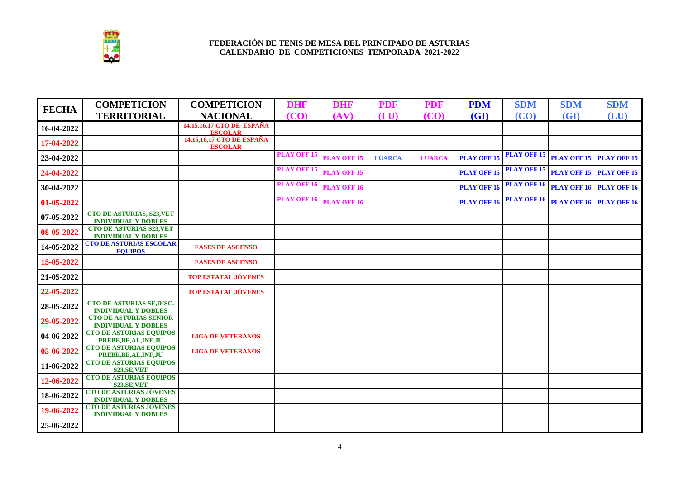

| <b>FECHA</b> | <b>COMPETICION</b>                                             | <b>COMPETICION</b>                          | <b>DHF</b>         | <b>DHF</b>         | <b>PDF</b>    | <b>PDF</b>    | <b>PDM</b>         | <b>SDM</b>         | <b>SDM</b> | <b>SDM</b>                     |
|--------------|----------------------------------------------------------------|---------------------------------------------|--------------------|--------------------|---------------|---------------|--------------------|--------------------|------------|--------------------------------|
|              | <b>TERRITORIAL</b>                                             | <b>NACIONAL</b>                             | (CO)               | (AV)               | (LU)          | (CO)          | (GI)               | (CO)               | (GI)       | (LU)                           |
| 16-04-2022   |                                                                | 14,15,16,17 CTO DE ESPAÑA<br><b>ESCOLAR</b> |                    |                    |               |               |                    |                    |            |                                |
| 17-04-2022   |                                                                | 14,15,16,17 CTO DE ESPAÑA<br><b>ESCOLAR</b> |                    |                    |               |               |                    |                    |            |                                |
| 23-04-2022   |                                                                |                                             | <b>PLAY OFF 15</b> | <b>PLAY OFF 15</b> | <b>LUARCA</b> | <b>LUARCA</b> | <b>PLAY OFF 15</b> | <b>PLAY OFF 15</b> |            | <b>PLAY OFF 15 PLAY OFF 15</b> |
| 24-04-2022   |                                                                |                                             | <b>PLAY OFF 15</b> | <b>PLAY OFF 15</b> |               |               | <b>PLAY OFF 15</b> | <b>PLAY OFF 15</b> |            | <b>PLAY OFF 15 PLAY OFF 15</b> |
| 30-04-2022   |                                                                |                                             | <b>PLAY OFF 16</b> | <b>PLAY OFF 16</b> |               |               | <b>PLAY OFF 16</b> | <b>PLAY OFF 16</b> |            | <b>PLAY OFF 16 PLAY OFF 16</b> |
| 01-05-2022   |                                                                |                                             | <b>PLAY OFF 16</b> | <b>PLAY OFF 16</b> |               |               | <b>PLAY OFF 16</b> | <b>PLAY OFF 16</b> |            | <b>PLAY OFF 16 PLAY OFF 16</b> |
| 07-05-2022   | <b>CTO DE ASTURIAS, S23, VET</b><br><b>INDIVIDUAL Y DOBLES</b> |                                             |                    |                    |               |               |                    |                    |            |                                |
| 08-05-2022   | <b>CTO DE ASTURIAS S23, VET</b><br><b>INDIVIDUAL Y DOBLES</b>  |                                             |                    |                    |               |               |                    |                    |            |                                |
| 14-05-2022   | <b>CTO DE ASTURIAS ESCOLAR</b><br><b>EQUIPOS</b>               | <b>FASES DE ASCENSO</b>                     |                    |                    |               |               |                    |                    |            |                                |
| 15-05-2022   |                                                                | <b>FASES DE ASCENSO</b>                     |                    |                    |               |               |                    |                    |            |                                |
| 21-05-2022   |                                                                | <b>TOP ESTATAL JÓVENES</b>                  |                    |                    |               |               |                    |                    |            |                                |
| 22-05-2022   |                                                                | <b>TOP ESTATAL JÓVENES</b>                  |                    |                    |               |               |                    |                    |            |                                |
| 28-05-2022   | CTO DE ASTURIAS SE, DISC.<br><b>INDIVIDUAL Y DOBLES</b>        |                                             |                    |                    |               |               |                    |                    |            |                                |
| 29-05-2022   | <b>CTO DE ASTURIAS SENIOR</b><br><b>INDIVIDUAL Y DOBLES</b>    |                                             |                    |                    |               |               |                    |                    |            |                                |
| 04-06-2022   | <b>CTO DE ASTURIAS EQUIPOS</b><br>PREBE, BE, AL, INF, JU       | <b>LIGA DE VETERANOS</b>                    |                    |                    |               |               |                    |                    |            |                                |
| 05-06-2022   | <b>CTO DE ASTURIAS EQUIPOS</b><br>PREBE, BE, AL, INF, JU       | <b>LIGA DE VETERANOS</b>                    |                    |                    |               |               |                    |                    |            |                                |
| 11-06-2022   | <b>CTO DE ASTURIAS EQUIPOS</b><br><b>S23, SE, VET</b>          |                                             |                    |                    |               |               |                    |                    |            |                                |
| 12-06-2022   | <b>CTO DE ASTURIAS EQUIPOS</b><br><b>S23, SE, VET</b>          |                                             |                    |                    |               |               |                    |                    |            |                                |
| 18-06-2022   | <b>CTO DE ASTURIAS JÓVENES</b><br><b>INDIVIDUAL Y DOBLES</b>   |                                             |                    |                    |               |               |                    |                    |            |                                |
| 19-06-2022   | <b>CTO DE ASTURIAS JÓVENES</b><br><b>INDIVIDUAL Y DOBLES</b>   |                                             |                    |                    |               |               |                    |                    |            |                                |
| 25-06-2022   |                                                                |                                             |                    |                    |               |               |                    |                    |            |                                |